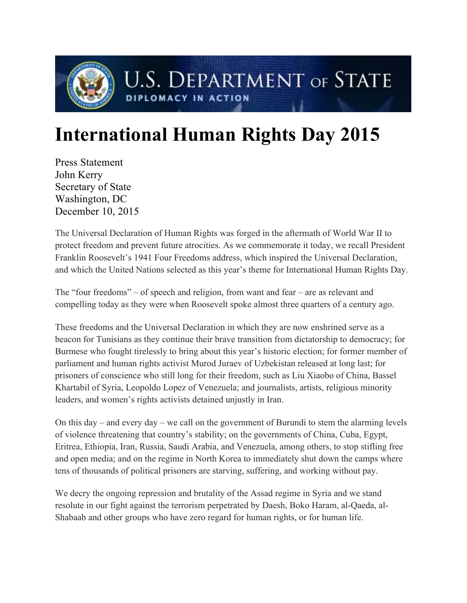

## **International Human Rights Day 2015**

Press Statement John Kerry Secretary of State Washington, DC December 10, 2015

The Universal Declaration of Human Rights was forged in the aftermath of World War II to protect freedom and prevent future atrocities. As we commemorate it today, we recall President Franklin Roosevelt's 1941 Four Freedoms address, which inspired the Universal Declaration, and which the United Nations selected as this year's theme for International Human Rights Day.

The "four freedoms" – of speech and religion, from want and fear – are as relevant and compelling today as they were when Roosevelt spoke almost three quarters of a century ago.

These freedoms and the Universal Declaration in which they are now enshrined serve as a beacon for Tunisians as they continue their brave transition from dictatorship to democracy; for Burmese who fought tirelessly to bring about this year's historic election; for former member of parliament and human rights activist Murod Juraev of Uzbekistan released at long last; for prisoners of conscience who still long for their freedom, such as Liu Xiaobo of China, Bassel Khartabil of Syria, Leopoldo Lopez of Venezuela; and journalists, artists, religious minority leaders, and women's rights activists detained unjustly in Iran.

On this day – and every day – we call on the government of Burundi to stem the alarming levels of violence threatening that country's stability; on the governments of China, Cuba, Egypt, Eritrea, Ethiopia, Iran, Russia, Saudi Arabia, and Venezuela, among others, to stop stifling free and open media; and on the regime in North Korea to immediately shut down the camps where tens of thousands of political prisoners are starving, suffering, and working without pay.

We decry the ongoing repression and brutality of the Assad regime in Syria and we stand resolute in our fight against the terrorism perpetrated by Daesh, Boko Haram, al-Qaeda, al-Shabaab and other groups who have zero regard for human rights, or for human life.